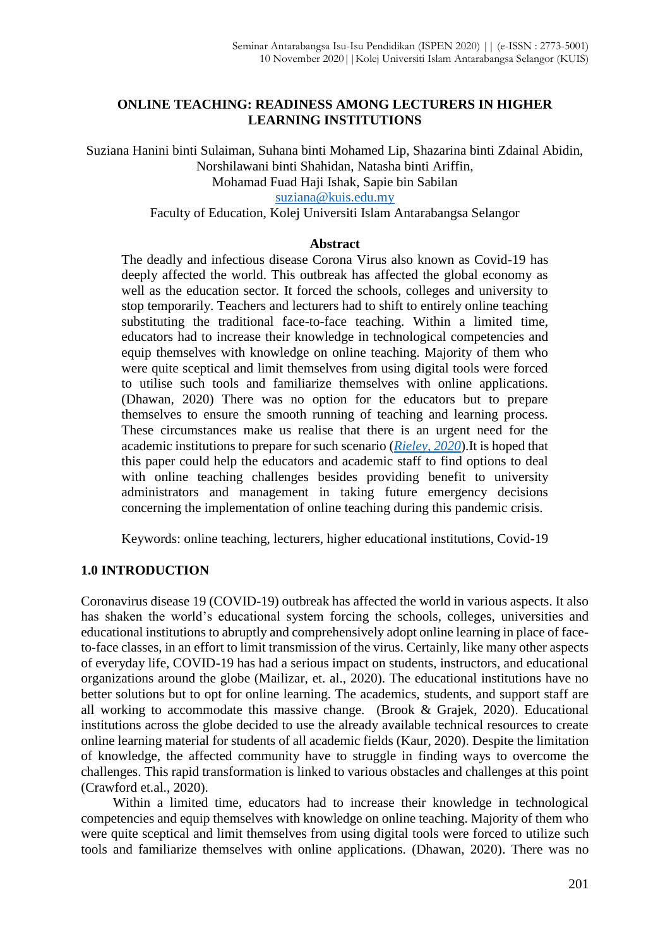## **ONLINE TEACHING: READINESS AMONG LECTURERS IN HIGHER LEARNING INSTITUTIONS**

Suziana Hanini binti Sulaiman, Suhana binti Mohamed Lip, Shazarina binti Zdainal Abidin, Norshilawani binti Shahidan, Natasha binti Ariffin, Mohamad Fuad Haji Ishak, Sapie bin Sabilan [suziana@kuis.edu.my](mailto:suziana@kuis.edu.my)

Faculty of Education, Kolej Universiti Islam Antarabangsa Selangor

### **Abstract**

The deadly and infectious disease Corona Virus also known as Covid-19 has deeply affected the world. This outbreak has affected the global economy as well as the education sector. It forced the schools, colleges and university to stop temporarily. Teachers and lecturers had to shift to entirely online teaching substituting the traditional face-to-face teaching. Within a limited time, educators had to increase their knowledge in technological competencies and equip themselves with knowledge on online teaching. Majority of them who were quite sceptical and limit themselves from using digital tools were forced to utilise such tools and familiarize themselves with online applications. (Dhawan, 2020) There was no option for the educators but to prepare themselves to ensure the smooth running of teaching and learning process. These circumstances make us realise that there is an urgent need for the academic institutions to prepare for such scenario (*[Rieley, 2020](https://journals.sagepub.com/doi/full/10.1177/0047239520934018)*).It is hoped that this paper could help the educators and academic staff to find options to deal with online teaching challenges besides providing benefit to university administrators and management in taking future emergency decisions concerning the implementation of online teaching during this pandemic crisis.

Keywords: online teaching, lecturers, higher educational institutions, Covid-19

# **1.0 INTRODUCTION**

Coronavirus disease 19 (COVID-19) outbreak has affected the world in various aspects. It also has shaken the world's educational system forcing the schools, colleges, universities and educational institutions to abruptly and comprehensively adopt online learning in place of faceto-face classes, in an effort to limit transmission of the virus. Certainly, like many other aspects of everyday life, COVID-19 has had a serious impact on students, instructors, and educational organizations around the globe (Mailizar, et. al., 2020). The educational institutions have no better solutions but to opt for online learning. The academics, students, and support staff are all working to accommodate this massive change. (Brook & Grajek, 2020). Educational institutions across the globe decided to use the already available technical resources to create online learning material for students of all academic fields (Kaur, 2020). Despite the limitation of knowledge, the affected community have to struggle in finding ways to overcome the challenges. This rapid transformation is linked to various obstacles and challenges at this point (Crawford et.al., 2020).

Within a limited time, educators had to increase their knowledge in technological competencies and equip themselves with knowledge on online teaching. Majority of them who were quite sceptical and limit themselves from using digital tools were forced to utilize such tools and familiarize themselves with online applications. (Dhawan, 2020). There was no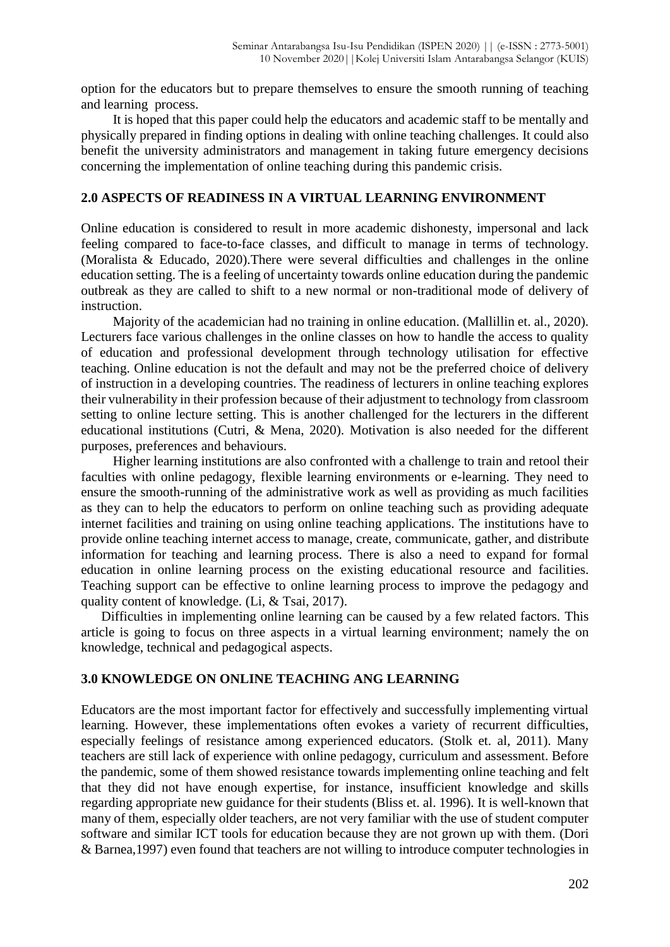option for the educators but to prepare themselves to ensure the smooth running of teaching and learning process.

It is hoped that this paper could help the educators and academic staff to be mentally and physically prepared in finding options in dealing with online teaching challenges. It could also benefit the university administrators and management in taking future emergency decisions concerning the implementation of online teaching during this pandemic crisis.

## **2.0 ASPECTS OF READINESS IN A VIRTUAL LEARNING ENVIRONMENT**

Online education is considered to result in more academic dishonesty, impersonal and lack feeling compared to face-to-face classes, and difficult to manage in terms of technology. (Moralista & Educado, 2020).There were several difficulties and challenges in the online education setting. The is a feeling of uncertainty towards online education during the pandemic outbreak as they are called to shift to a new normal or non-traditional mode of delivery of instruction.

Majority of the academician had no training in online education. (Mallillin et. al., 2020). Lecturers face various challenges in the online classes on how to handle the access to quality of education and professional development through technology utilisation for effective teaching. Online education is not the default and may not be the preferred choice of delivery of instruction in a developing countries. The readiness of lecturers in online teaching explores their vulnerability in their profession because of their adjustment to technology from classroom setting to online lecture setting. This is another challenged for the lecturers in the different educational institutions (Cutri, & Mena, 2020). Motivation is also needed for the different purposes, preferences and behaviours.

Higher learning institutions are also confronted with a challenge to train and retool their faculties with online pedagogy, flexible learning environments or e-learning. They need to ensure the smooth-running of the administrative work as well as providing as much facilities as they can to help the educators to perform on online teaching such as providing adequate internet facilities and training on using online teaching applications. The institutions have to provide online teaching internet access to manage, create, communicate, gather, and distribute information for teaching and learning process. There is also a need to expand for formal education in online learning process on the existing educational resource and facilities. Teaching support can be effective to online learning process to improve the pedagogy and quality content of knowledge. (Li, & Tsai, 2017).

Difficulties in implementing online learning can be caused by a few related factors. This article is going to focus on three aspects in a virtual learning environment; namely the on knowledge, technical and pedagogical aspects.

## **3.0 KNOWLEDGE ON ONLINE TEACHING ANG LEARNING**

Educators are the most important factor for effectively and successfully implementing virtual learning. However, these implementations often evokes a variety of recurrent difficulties, especially feelings of resistance among experienced educators. (Stolk et. al, 2011). Many teachers are still lack of experience with online pedagogy, curriculum and assessment. Before the pandemic, some of them showed resistance towards implementing online teaching and felt that they did not have enough expertise, for instance, insufficient knowledge and skills regarding appropriate new guidance for their students (Bliss et. al. 1996). It is well-known that many of them, especially older teachers, are not very familiar with the use of student computer software and similar ICT tools for education because they are not grown up with them. (Dori & Barnea,1997) even found that teachers are not willing to introduce computer technologies in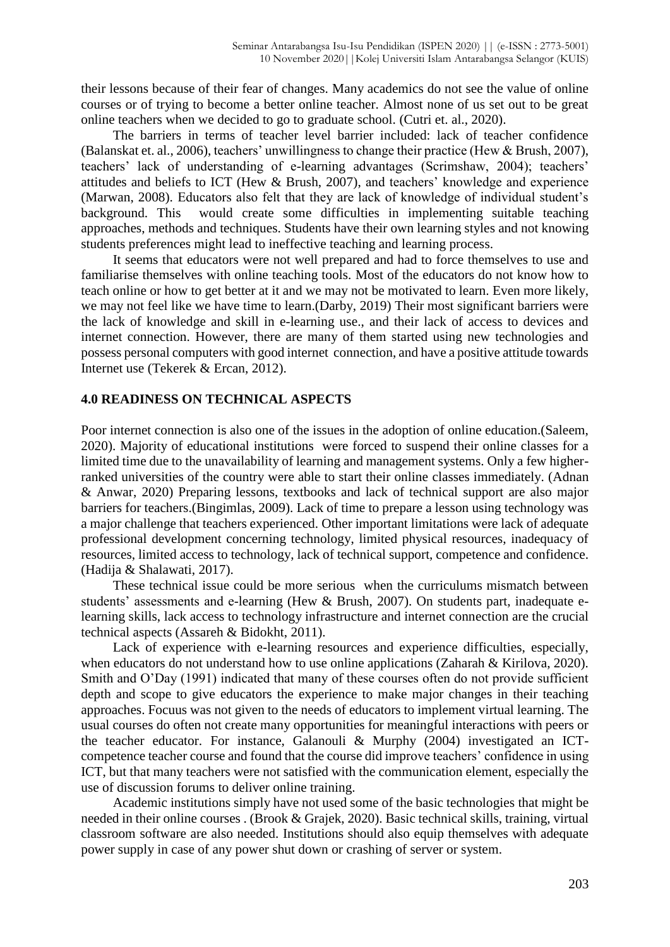their lessons because of their fear of changes. Many academics do not see the value of online courses or of trying to become a better online teacher. Almost none of us set out to be great online teachers when we decided to go to graduate school. (Cutri et. al., 2020).

The barriers in terms of teacher level barrier included: lack of teacher confidence (Balanskat et. al., 2006), teachers' unwillingness to change their practice (Hew & Brush, 2007), teachers' lack of understanding of e-learning advantages (Scrimshaw, 2004); teachers' attitudes and beliefs to ICT (Hew & Brush, 2007), and teachers' knowledge and experience (Marwan, 2008). Educators also felt that they are lack of knowledge of individual student's background. This would create some difficulties in implementing suitable teaching approaches, methods and techniques. Students have their own learning styles and not knowing students preferences might lead to ineffective teaching and learning process.

It seems that educators were not well prepared and had to force themselves to use and familiarise themselves with online teaching tools. Most of the educators do not know how to teach online or how to get better at it and we may not be motivated to learn. Even more likely, we may not feel like we have time to learn.(Darby, 2019) Their most significant barriers were the lack of knowledge and skill in e-learning use., and their lack of access to devices and internet connection. However, there are many of them started using new technologies and possess personal computers with good internet connection, and have a positive attitude towards Internet use (Tekerek & Ercan, 2012).

### **4.0 READINESS ON TECHNICAL ASPECTS**

Poor internet connection is also one of the issues in the adoption of online education.(Saleem, 2020). Majority of educational institutions were forced to suspend their online classes for a limited time due to the unavailability of learning and management systems. Only a few higherranked universities of the country were able to start their online classes immediately. (Adnan & Anwar, 2020) Preparing lessons, textbooks and lack of technical support are also major barriers for teachers.(Bingimlas, 2009). Lack of time to prepare a lesson using technology was a major challenge that teachers experienced. Other important limitations were lack of adequate professional development concerning technology, limited physical resources, inadequacy of resources, limited access to technology, lack of technical support, competence and confidence. (Hadija & Shalawati, 2017).

These technical issue could be more serious when the curriculums mismatch between students' assessments and e-learning (Hew & Brush, 2007). On students part, inadequate elearning skills, lack access to technology infrastructure and internet connection are the crucial technical aspects (Assareh & Bidokht, 2011).

Lack of experience with e-learning resources and experience difficulties, especially, when educators do not understand how to use online applications (Zaharah & Kirilova, 2020). Smith and O'Day (1991) indicated that many of these courses often do not provide sufficient depth and scope to give educators the experience to make major changes in their teaching approaches. Focuus was not given to the needs of educators to implement virtual learning. The usual courses do often not create many opportunities for meaningful interactions with peers or the teacher educator. For instance, Galanouli & Murphy (2004) investigated an ICTcompetence teacher course and found that the course did improve teachers' confidence in using ICT, but that many teachers were not satisfied with the communication element, especially the use of discussion forums to deliver online training.

Academic institutions simply have not used some of the basic technologies that might be needed in their online courses . (Brook & Grajek, 2020). Basic technical skills, training, virtual classroom software are also needed. Institutions should also equip themselves with adequate power supply in case of any power shut down or crashing of server or system.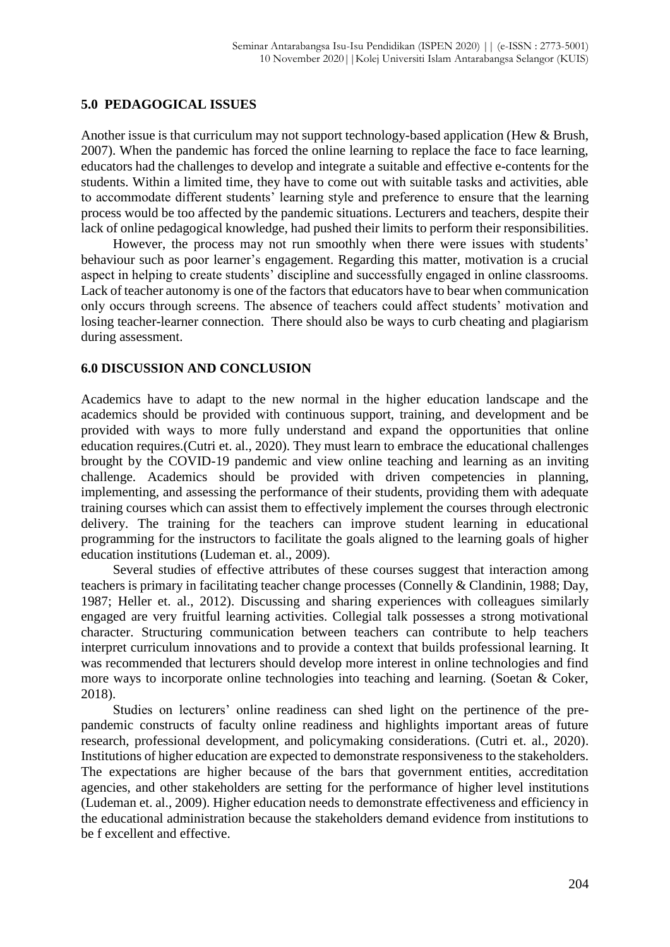#### **5.0 PEDAGOGICAL ISSUES**

Another issue is that curriculum may not support technology-based application (Hew & Brush, 2007). When the pandemic has forced the online learning to replace the face to face learning, educators had the challenges to develop and integrate a suitable and effective e-contents for the students. Within a limited time, they have to come out with suitable tasks and activities, able to accommodate different students' learning style and preference to ensure that the learning process would be too affected by the pandemic situations. Lecturers and teachers, despite their lack of online pedagogical knowledge, had pushed their limits to perform their responsibilities.

However, the process may not run smoothly when there were issues with students' behaviour such as poor learner's engagement. Regarding this matter, motivation is a crucial aspect in helping to create students' discipline and successfully engaged in online classrooms. Lack of teacher autonomy is one of the factors that educators have to bear when communication only occurs through screens. The absence of teachers could affect students' motivation and losing teacher-learner connection. There should also be ways to curb cheating and plagiarism during assessment.

#### **6.0 DISCUSSION AND CONCLUSION**

Academics have to adapt to the new normal in the higher education landscape and the academics should be provided with continuous support, training, and development and be provided with ways to more fully understand and expand the opportunities that online education requires.(Cutri et. al., 2020). They must learn to embrace the educational challenges brought by the COVID-19 pandemic and view online teaching and learning as an inviting challenge. Academics should be provided with driven competencies in planning, implementing, and assessing the performance of their students, providing them with adequate training courses which can assist them to effectively implement the courses through electronic delivery. The training for the teachers can improve student learning in educational programming for the instructors to facilitate the goals aligned to the learning goals of higher education institutions (Ludeman et. al., 2009).

Several studies of effective attributes of these courses suggest that interaction among teachers is primary in facilitating teacher change processes (Connelly & Clandinin, 1988; Day, 1987; Heller et. al., 2012). Discussing and sharing experiences with colleagues similarly engaged are very fruitful learning activities. Collegial talk possesses a strong motivational character. Structuring communication between teachers can contribute to help teachers interpret curriculum innovations and to provide a context that builds professional learning. It was recommended that lecturers should develop more interest in online technologies and find more ways to incorporate online technologies into teaching and learning. (Soetan & Coker, 2018).

Studies on lecturers' online readiness can shed light on the pertinence of the prepandemic constructs of faculty online readiness and highlights important areas of future research, professional development, and policymaking considerations. (Cutri et. al., 2020). Institutions of higher education are expected to demonstrate responsiveness to the stakeholders. The expectations are higher because of the bars that government entities, accreditation agencies, and other stakeholders are setting for the performance of higher level institutions (Ludeman et. al., 2009). Higher education needs to demonstrate effectiveness and efficiency in the educational administration because the stakeholders demand evidence from institutions to be f excellent and effective.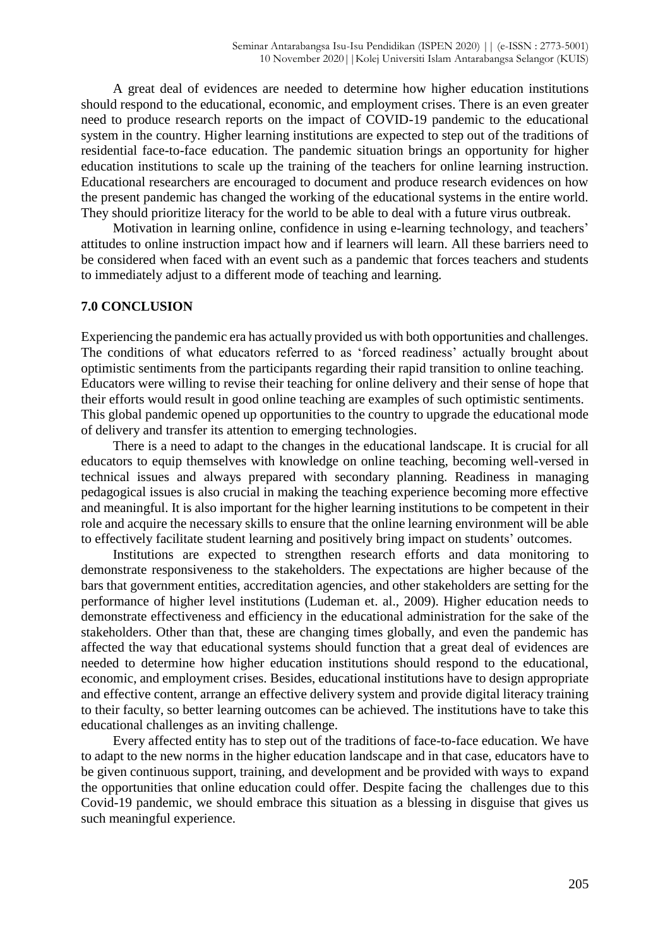A great deal of evidences are needed to determine how higher education institutions should respond to the educational, economic, and employment crises. There is an even greater need to produce research reports on the impact of COVID-19 pandemic to the educational system in the country. Higher learning institutions are expected to step out of the traditions of residential face-to-face education. The pandemic situation brings an opportunity for higher education institutions to scale up the training of the teachers for online learning instruction. Educational researchers are encouraged to document and produce research evidences on how the present pandemic has changed the working of the educational systems in the entire world. They should prioritize literacy for the world to be able to deal with a future virus outbreak.

Motivation in learning online, confidence in using e-learning technology, and teachers' attitudes to online instruction impact how and if learners will learn. All these barriers need to be considered when faced with an event such as a pandemic that forces teachers and students to immediately adjust to a different mode of teaching and learning.

#### **7.0 CONCLUSION**

Experiencing the pandemic era has actually provided us with both opportunities and challenges. The conditions of what educators referred to as 'forced readiness' actually brought about optimistic sentiments from the participants regarding their rapid transition to online teaching. Educators were willing to revise their teaching for online delivery and their sense of hope that their efforts would result in good online teaching are examples of such optimistic sentiments. This global pandemic opened up opportunities to the country to upgrade the educational mode of delivery and transfer its attention to emerging technologies.

There is a need to adapt to the changes in the educational landscape. It is crucial for all educators to equip themselves with knowledge on online teaching, becoming well-versed in technical issues and always prepared with secondary planning. Readiness in managing pedagogical issues is also crucial in making the teaching experience becoming more effective and meaningful. It is also important for the higher learning institutions to be competent in their role and acquire the necessary skills to ensure that the online learning environment will be able to effectively facilitate student learning and positively bring impact on students' outcomes.

Institutions are expected to strengthen research efforts and data monitoring to demonstrate responsiveness to the stakeholders. The expectations are higher because of the bars that government entities, accreditation agencies, and other stakeholders are setting for the performance of higher level institutions (Ludeman et. al., 2009). Higher education needs to demonstrate effectiveness and efficiency in the educational administration for the sake of the stakeholders. Other than that, these are changing times globally, and even the pandemic has affected the way that educational systems should function that a great deal of evidences are needed to determine how higher education institutions should respond to the educational, economic, and employment crises. Besides, educational institutions have to design appropriate and effective content, arrange an effective delivery system and provide digital literacy training to their faculty, so better learning outcomes can be achieved. The institutions have to take this educational challenges as an inviting challenge.

Every affected entity has to step out of the traditions of face-to-face education. We have to adapt to the new norms in the higher education landscape and in that case, educators have to be given continuous support, training, and development and be provided with ways to expand the opportunities that online education could offer. Despite facing the challenges due to this Covid-19 pandemic, we should embrace this situation as a blessing in disguise that gives us such meaningful experience.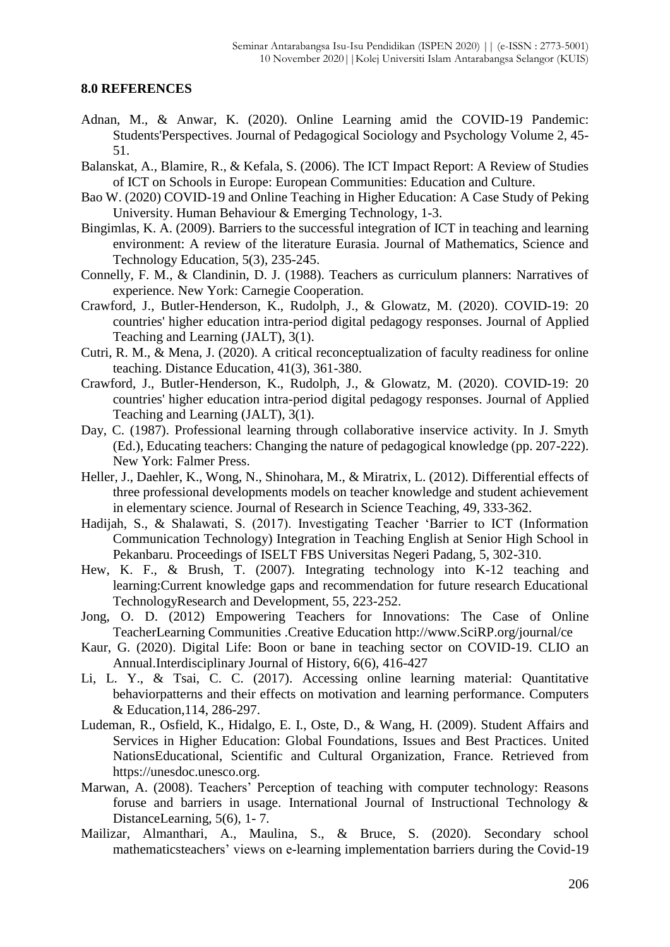#### **8.0 REFERENCES**

- Adnan, M., & Anwar, K. (2020). Online Learning amid the COVID-19 Pandemic: Students'Perspectives. Journal of Pedagogical Sociology and Psychology Volume 2, 45- 51.
- Balanskat, A., Blamire, R., & Kefala, S. (2006). The ICT Impact Report: A Review of Studies of ICT on Schools in Europe: European Communities: Education and Culture.
- Bao W. (2020) COVID-19 and Online Teaching in Higher Education: A Case Study of Peking University. Human Behaviour & Emerging Technology, 1-3.
- Bingimlas, K. A. (2009). Barriers to the successful integration of ICT in teaching and learning environment: A review of the literature Eurasia. Journal of Mathematics, Science and Technology Education, 5(3), 235-245.
- Connelly, F. M., & Clandinin, D. J. (1988). Teachers as curriculum planners: Narratives of experience. New York: Carnegie Cooperation.
- Crawford, J., Butler-Henderson, K., Rudolph, J., & Glowatz, M. (2020). COVID-19: 20 countries' higher education intra-period digital pedagogy responses. Journal of Applied Teaching and Learning (JALT), 3(1).
- Cutri, R. M., & Mena, J. (2020). A critical reconceptualization of faculty readiness for online teaching. Distance Education, 41(3), 361-380.
- Crawford, J., Butler-Henderson, K., Rudolph, J., & Glowatz, M. (2020). COVID-19: 20 countries' higher education intra-period digital pedagogy responses. Journal of Applied Teaching and Learning (JALT), 3(1).
- Day, C. (1987). Professional learning through collaborative inservice activity. In J. Smyth (Ed.), Educating teachers: Changing the nature of pedagogical knowledge (pp. 207-222). New York: Falmer Press.
- Heller, J., Daehler, K., Wong, N., Shinohara, M., & Miratrix, L. (2012). Differential effects of three professional developments models on teacher knowledge and student achievement in elementary science. Journal of Research in Science Teaching, 49, 333-362.
- Hadijah, S., & Shalawati, S. (2017). Investigating Teacher 'Barrier to ICT (Information Communication Technology) Integration in Teaching English at Senior High School in Pekanbaru. Proceedings of ISELT FBS Universitas Negeri Padang, 5, 302-310.
- Hew, K. F., & Brush, T. (2007). Integrating technology into K-12 teaching and learning:Current knowledge gaps and recommendation for future research Educational TechnologyResearch and Development, 55, 223-252.
- Jong, O. D. (2012) Empowering Teachers for Innovations: The Case of Online TeacherLearning Communities .Creative Education http://www.SciRP.org/journal/ce
- Kaur, G. (2020). Digital Life: Boon or bane in teaching sector on COVID-19. CLIO an Annual.Interdisciplinary Journal of History, 6(6), 416-427
- Li, L. Y., & Tsai, C. C. (2017). Accessing online learning material: Quantitative behaviorpatterns and their effects on motivation and learning performance. Computers & Education,114, 286-297.
- Ludeman, R., Osfield, K., Hidalgo, E. I., Oste, D., & Wang, H. (2009). Student Affairs and Services in Higher Education: Global Foundations, Issues and Best Practices. United NationsEducational, Scientific and Cultural Organization, France. Retrieved from https://unesdoc.unesco.org.
- Marwan, A. (2008). Teachers' Perception of teaching with computer technology: Reasons foruse and barriers in usage. International Journal of Instructional Technology & DistanceLearning, 5(6), 1-7.
- Mailizar, Almanthari, A., Maulina, S., & Bruce, S. (2020). Secondary school mathematicsteachers' views on e-learning implementation barriers during the Covid-19